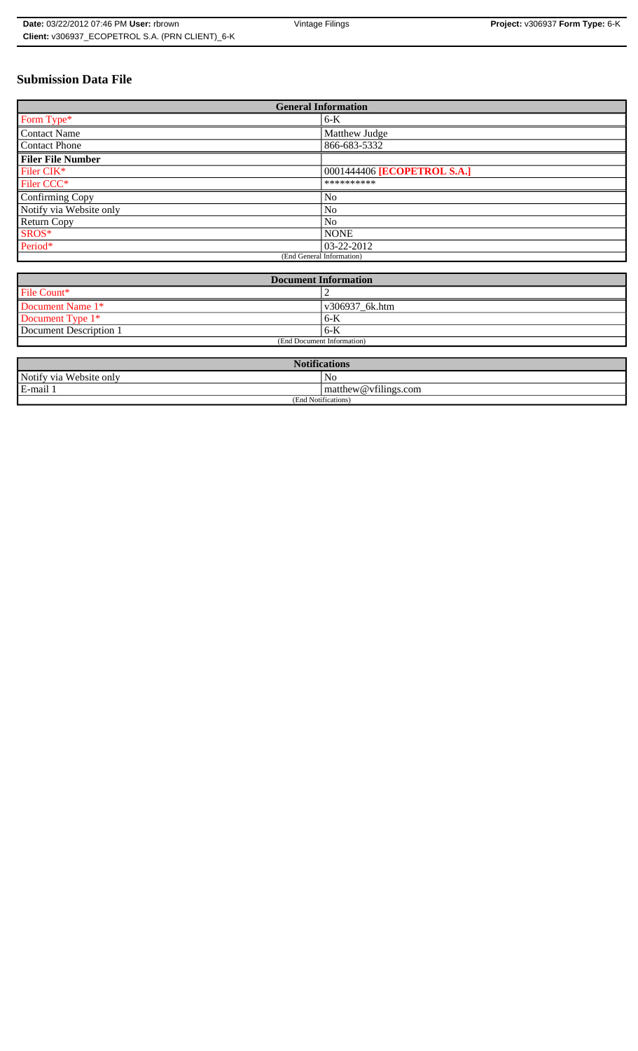# **Submission Data File**

| <b>General Information</b> |                             |
|----------------------------|-----------------------------|
| Form Type*                 | $6-K$                       |
| <b>Contact Name</b>        | Matthew Judge               |
| <b>Contact Phone</b>       | 866-683-5332                |
| <b>Filer File Number</b>   |                             |
| Filer CIK*                 | 0001444406 [ECOPETROL S.A.] |
| Filer CCC*                 | **********                  |
| Confirming Copy            | No                          |
| Notify via Website only    | No                          |
| Return Copy                | N <sub>o</sub>              |
| SROS*                      | <b>NONE</b>                 |
| Period*                    | $ 03-22-2012 $              |
| (End General Information)  |                             |

| <b>Document Information</b> |                |
|-----------------------------|----------------|
| File Count*                 |                |
| Document Name 1*            | v306937 6k.htm |
| Document Type 1*            | $6 - K$        |
| Document Description 1      | $6-K$          |
| (End Document Information)  |                |

| <b>Notifications</b>    |                      |  |
|-------------------------|----------------------|--|
| Notify via Website only | No                   |  |
| E-mail 1                | matthew@vfilings.com |  |
| (End Notifications)     |                      |  |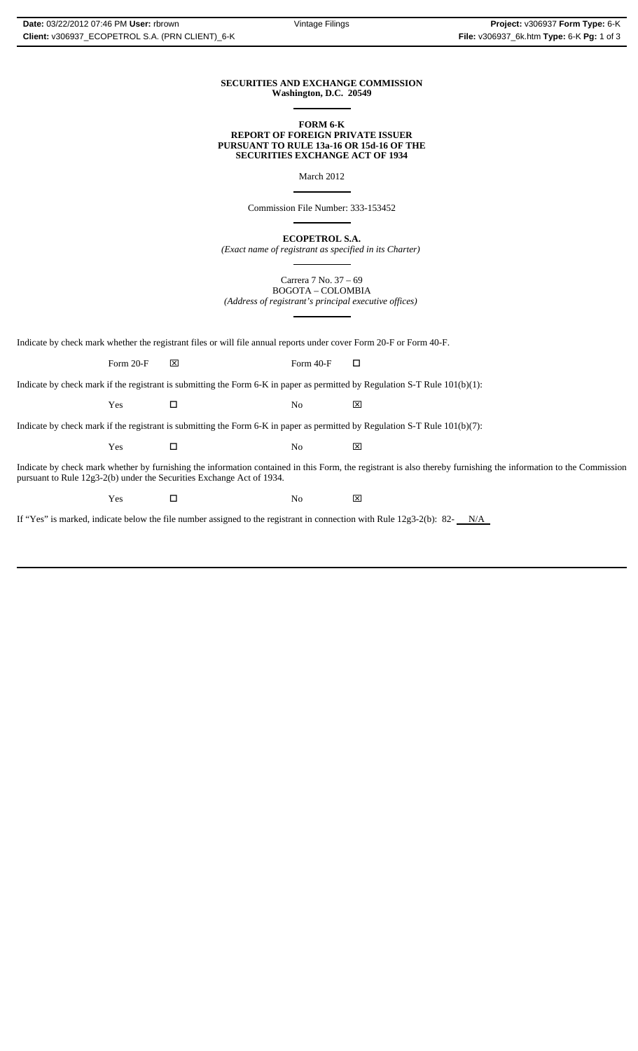#### **SECURITIES AND EXCHANGE COMMISSION Washington, D.C. 20549**  $\overline{a}$

#### **FORM 6-K REPORT OF FOREIGN PRIVATE ISSUER PURSUANT TO RULE 13a-16 OR 15d-16 OF THE SECURITIES EXCHANGE ACT OF 1934**

March 2012

 $\overline{\phantom{a}}$ 

 $\overline{a}$ 

 $\overline{a}$ 

Commission File Number: 333-153452

**ECOPETROL S.A.**

*(Exact name of registrant as specified in its Charter)*  $\overline{a}$ 

Carrera 7 No. 37 – 69 BOGOTA – COLOMBIA *(Address of registrant's principal executive offices)*

Indicate by check mark whether the registrant files or will file annual reports under cover Form 20-F or Form 40-F.

Form 20-F  $\boxtimes$  Form 40-F  $\Box$ 

Indicate by check mark if the registrant is submitting the Form 6-K in paper as permitted by Regulation S-T Rule 101(b)(1):

Yes □ No ⊠

Indicate by check mark if the registrant is submitting the Form 6-K in paper as permitted by Regulation S-T Rule 101(b)(7):

Yes □ No ⊠

Indicate by check mark whether by furnishing the information contained in this Form, the registrant is also thereby furnishing the information to the Commission pursuant to Rule 12g3-2(b) under the Securities Exchange Act of 1934.

Yes □ No ⊠

If "Yes" is marked, indicate below the file number assigned to the registrant in connection with Rule  $12g3-2(b)$ : 82- $N/A$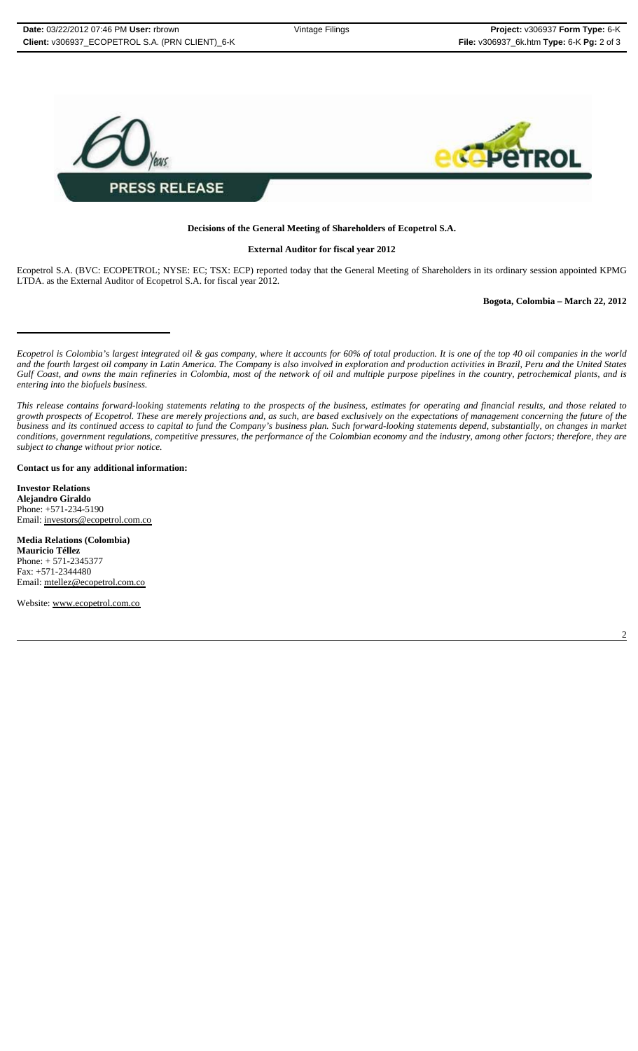

## **Decisions of the General Meeting of Shareholders of Ecopetrol S.A.**

#### **External Auditor for fiscal year 2012**

Ecopetrol S.A. (BVC: ECOPETROL; NYSE: EC; TSX: ECP) reported today that the General Meeting of Shareholders in its ordinary session appointed KPMG LTDA. as the External Auditor of Ecopetrol S.A. for fiscal year 2012.

## **Bogota, Colombia – March 22, 2012**

*Ecopetrol is Colombia's largest integrated oil & gas company, where it accounts for 60% of total production. It is one of the top 40 oil companies in the world and the fourth largest oil company in Latin America. The Company is also involved in exploration and production activities in Brazil, Peru and the United States Gulf Coast, and owns the main refineries in Colombia, most of the network of oil and multiple purpose pipelines in the country, petrochemical plants, and is entering into the biofuels business.*

#### **Contact us for any additional information:**

**Investor Relations Alejandro Giraldo** Phone: +571-234-5190 Email: investors@ecopetrol.com.co

**Media Relations (Colombia) Mauricio Téllez** Phone: + 571-2345377 Fax: +571-2344480 Email: mtellez@ecopetrol.com.co

Website: www.ecopetrol.com.co

*This release contains forward-looking statements relating to the prospects of the business, estimates for operating and financial results, and those related to growth prospects of Ecopetrol. These are merely projections and, as such, are based exclusively on the expectations of management concerning the future of the business and its continued access to capital to fund the Company's business plan. Such forward-looking statements depend, substantially, on changes in market conditions, government regulations, competitive pressures, the performance of the Colombian economy and the industry, among other factors; therefore, they are subject to change without prior notice.*